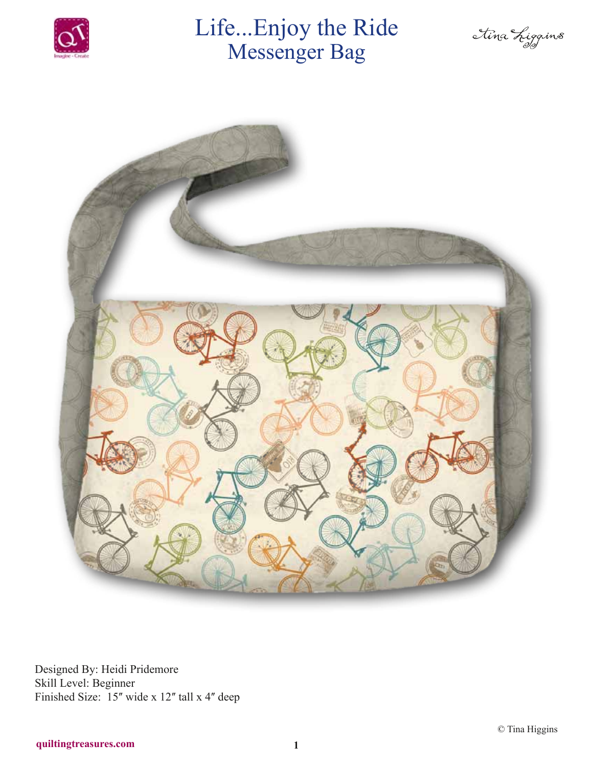

# Life...Enjoy the Ride Messenger Bag

Ilina Liggins



Designed By: Heidi Pridemore Skill Level: Beginner Finished Size: 15" wide x 12" tall x 4" deep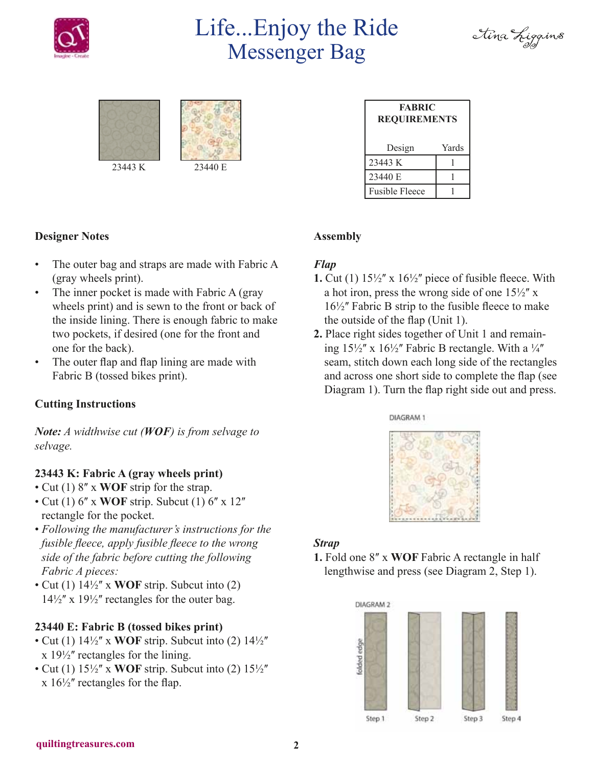

# Life...Enjoy the Ride Messenger Bag







| <b>FABRIC</b><br><b>REQUIREMENTS</b> |       |
|--------------------------------------|-------|
| Design                               | Yards |
| 23443 K                              |       |
| 23440 E                              |       |
| <b>Fusible Fleece</b>                |       |

#### **Designer Notes**

- The outer bag and straps are made with Fabric A (gray wheels print).
- The inner pocket is made with Fabric A (gray wheels print) and is sewn to the front or back of the inside lining. There is enough fabric to make two pockets, if desired (one for the front and one for the back).
- The outer flap and flap lining are made with Fabric B (tossed bikes print).

#### **Cutting Instructions**

*Note: A widthwise cut (WOF) is from selvage to selvage.*

#### **23443 K: Fabric A (gray wheels print)**

- Cut (1) 8" x **WOF** strip for the strap.
- $\cdot$  Cut (1) 6'' x WOF strip. Subcut (1) 6'' x 12'' rectangle for the pocket.
- *Following the manufacturer's instructions for the fusible fleece, apply fusible fleece to the wrong side of the fabric before cutting the following Fabric A pieces:*
- Cut (1) 14½ʺ x **WOF** strip. Subcut into (2)  $14\frac{1}{2}$ " x  $19\frac{1}{2}$ " rectangles for the outer bag.

## **23440 E: Fabric B (tossed bikes print)**

- Cut (1)  $14\frac{1}{2}$  x **WOF** strip. Subcut into (2)  $14\frac{1}{2}$  $x 19\frac{1}{2}$  rectangles for the lining.
- Cut (1)  $15\frac{1}{2}$  x **WOF** strip. Subcut into (2)  $15\frac{1}{2}$  $x 16\frac{1}{2}$  rectangles for the flap.

# **Assembly**

#### *Flap*

- **1.** Cut (1)  $15\frac{1}{2}$  x  $16\frac{1}{2}$  piece of fusible fleece. With a hot iron, press the wrong side of one  $15\frac{1}{2}$ " x  $16\frac{1}{2}$  Fabric B strip to the fusible fleece to make the outside of the flap (Unit 1).
- **2.** Place right sides together of Unit 1 and remaining  $15\frac{1}{2}$ " x  $16\frac{1}{2}$ " Fabric B rectangle. With a  $\frac{1}{4}$ " seam, stitch down each long side of the rectangles and across one short side to complete the flap (see Diagram 1). Turn the flap right side out and press.

DIAGRAM 1



## *Strap*

**1.** Fold one 8ʺ x **WOF** Fabric A rectangle in half lengthwise and press (see Diagram 2, Step 1).

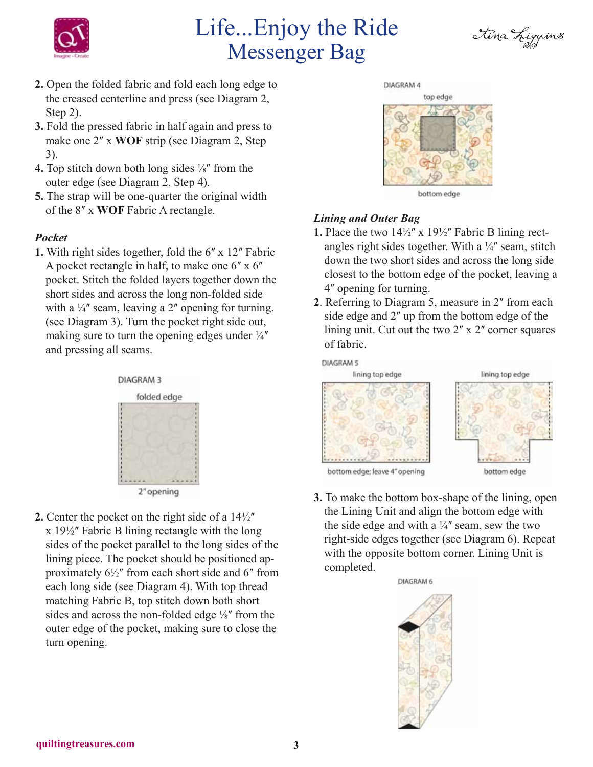

# Life...Enjoy the Ride Messenger Bag



- **2.** Open the folded fabric and fold each long edge to the creased centerline and press (see Diagram 2, Step 2).
- **3.** Fold the pressed fabric in half again and press to make one 2" x **WOF** strip (see Diagram 2, Step 3).
- **4.** Top stitch down both long sides  $\frac{1}{8}$  from the outer edge (see Diagram 2, Step 4).
- **5.** The strap will be one-quarter the original width of the 8ʺ x **WOF** Fabric A rectangle.

## *Pocket*

**1.** With right sides together, fold the 6" x 12" Fabric A pocket rectangle in half, to make one  $6''$  x  $6''$ pocket. Stitch the folded layers together down the short sides and across the long non-folded side with a  $\frac{1}{4}$ " seam, leaving a 2" opening for turning. (see Diagram 3). Turn the pocket right side out, making sure to turn the opening edges under  $\frac{1}{4}$ and pressing all seams.



**2.** Center the pocket on the right side of a  $14\frac{1}{2}$  $x 19\frac{1}{2}$  Fabric B lining rectangle with the long sides of the pocket parallel to the long sides of the lining piece. The pocket should be positioned approximately  $6\frac{1}{2}$ " from each short side and 6" from each long side (see Diagram 4). With top thread matching Fabric B, top stitch down both short sides and across the non-folded edge  $\frac{1}{8}$ " from the outer edge of the pocket, making sure to close the turn opening.



DIAGRAM 4

bottom edge

## *Lining and Outer Bag*

- **1.** Place the two  $14\frac{1}{2}$  x  $19\frac{1}{2}$  Fabric B lining rectangles right sides together. With a  $\frac{1}{4}$  seam, stitch down the two short sides and across the long side closest to the bottom edge of the pocket, leaving a 4ʺ opening for turning.
- 2. Referring to Diagram 5, measure in 2<sup>*m*</sup> from each side edge and 2" up from the bottom edge of the lining unit. Cut out the two  $2'' \times 2''$  corner squares of fabric.



**3.** To make the bottom box-shape of the lining, open the Lining Unit and align the bottom edge with the side edge and with a  $\frac{1}{4}$  seam, sew the two right-side edges together (see Diagram 6). Repeat with the opposite bottom corner. Lining Unit is completed.